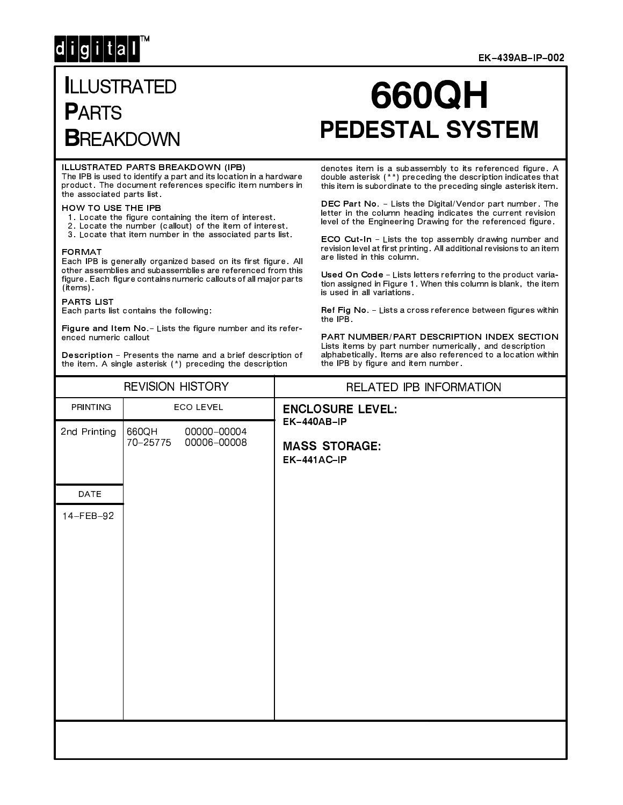# $d[i|g[i]|t|a]$

#### EK-439AB-IP-002

# **ILLUSTRATED PARTS BREAKDOWN**

# 660QH **PEDESTAL SYSTEM**

#### ILLUSTRATED PARTS BREAKDOWN (IPB)

The IPB is used to identify a part and its location in a hardware product. The document references specific item numbers in the associated parts list.

## HOW TO USE THE IPB

- 
- 1. Locate the figure containing the item of interest.<br>2. Locate the number (callout) of the item of interest.
- 3. Locate that item number in the associated parts list.

#### **FORMAT**

Each IPB is generally organized based on its first figure. All other assemblies and subassemblies are referenced from this figure. Each figure contains numeric callouts of all major parts (items).

## **PARTS LIST**

Each parts list contains the following:

Figure and Item No. - Lists the figure number and its referenced numeric callout

Description - Presents the name and a brief description of the item. A single asterisk (\*) preceding the description

#### denotes item is a subassembly to its referenced figure. A double asterisk (\*\*) preceding the description indicates that this item is subordinate to the preceding single asterisk item.

DEC Part No. - Lists the Digital/Vendor part number. The letter in the column heading indicates the current revision level of the Engineering Drawing for the referenced figure.

ECO Cut-In - Lists the top assembly drawing number and revision level at first printing. All additional revisions to an item are listed in this column.

Used On Code - Lists letters referring to the product variation assigned in Figure 1. When this column is blank, the item is used in all variations.

Ref Fig No. - Lists a cross reference between figures within the IPB.

PART NUMBER/PART DESCRIPTION INDEX SECTION Lists items by part number numerically, and description alphabetically. Items are also referenced to a location within the IPB by figure and item number.

|              | <b>REVISION HISTORY</b>                         | RELATED IPB INFORMATION                            |
|--------------|-------------------------------------------------|----------------------------------------------------|
| PRINTING     | ECO LEVEL                                       | <b>ENCLOSURE LEVEL:</b>                            |
| 2nd Printing | 660QH<br>00000-00004<br>70-25775<br>00006-00008 | EK-440AB-IP<br><b>MASS STORAGE:</b><br>EK-441AC-IP |
| DATE         |                                                 |                                                    |
| 14-FEB-92    |                                                 |                                                    |
|              |                                                 |                                                    |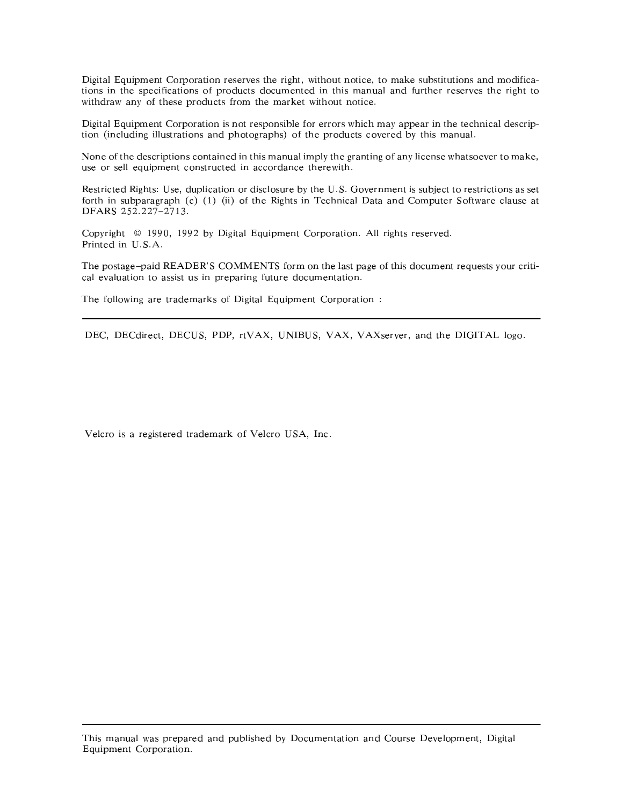Digital Equipment Corporation reserves the right, without notice, to make substitutions and modifications in the specifications of products documented in this manual and further reserves the right to withdraw any of these products from the market without notice.

Digital Equipment Corporation is not responsible for errors which may appear in the technical description (including illustrations and photographs) of the products covered by this manual.

None of the descriptions contained in this manual imply the granting of any license whatsoever to make, use or sell equipment constructed in accordance therewith.

Restricted Rights: Use, duplication or disclosure by the U.S. Government is subject to restrictions as set forth in subparagraph (c) (1) (ii) of the Rights in Technical Data and Computer Software clause at DFARS 252.227-2713.

Copyright © 1990, 1992 by Digital Equipment Corporation. All rights reserved. Printed in U.S.A.

The postage-paid READER'S COMMENTS form on the last page of this document requests your critical evaluation to assist us in preparing future documentation.

The following are trademarks of Digital Equipment Corporation :

DEC, DECdirect, DECUS, PDP, rtVAX, UNIBUS, VAX, VAXserver, and the DIGITAL logo.

Velcro is a registered trademark of Velcro USA, Inc.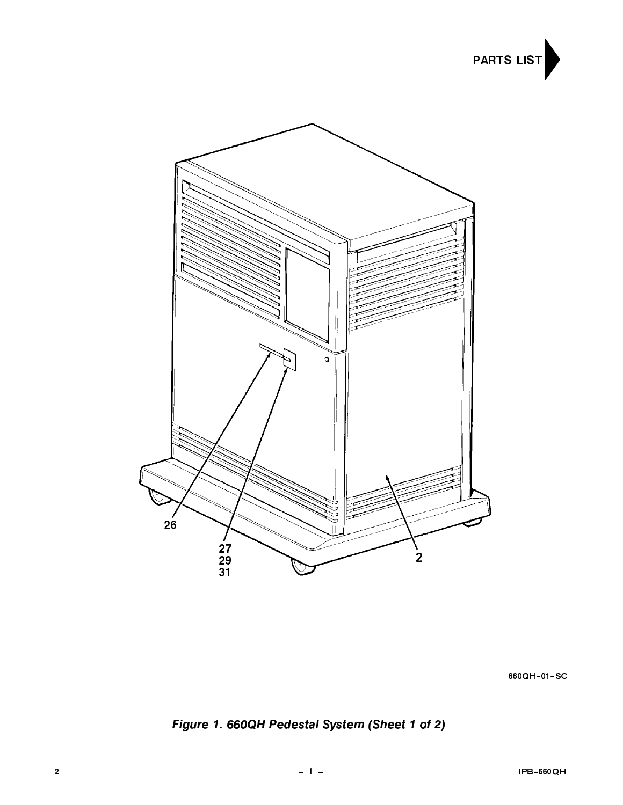



660QH-01-SC

Figure 1. 660QH Pedestal System (Sheet 1 of 2)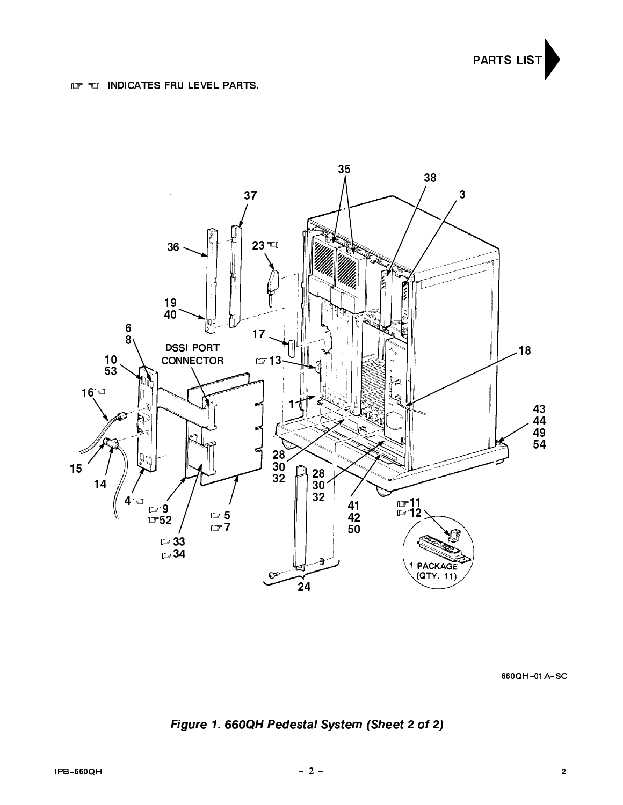



660QH-01A-SC

Figure 1. 660QH Pedestal System (Sheet 2 of 2)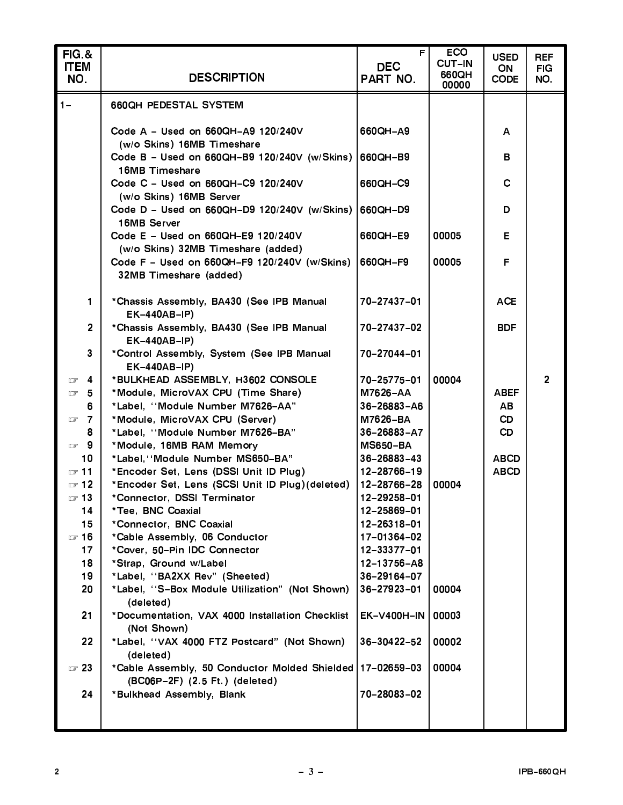| <b>FIG.&amp;</b><br><b>ITEM</b><br>NO. | <b>DESCRIPTION</b>                                                                          | F.<br><b>DEC</b><br>PART NO. | <b>ECO</b><br><b>CUT-IN</b><br>660QH<br>00000 | <b>USED</b><br>ON<br><b>CODE</b> | <b>REF</b><br><b>FIG</b><br>NO. |
|----------------------------------------|---------------------------------------------------------------------------------------------|------------------------------|-----------------------------------------------|----------------------------------|---------------------------------|
| $1 -$                                  | <b>660QH PEDESTAL SYSTEM</b>                                                                |                              |                                               |                                  |                                 |
|                                        |                                                                                             |                              |                                               |                                  |                                 |
|                                        | Code A - Used on 660QH-A9 120/240V                                                          | 660QH-A9                     |                                               | A                                |                                 |
|                                        | (w/o Skins) 16MB Timeshare<br>Code B - Used on 660QH-B9 120/240V (w/Skins) 660QH-B9         |                              |                                               | в                                |                                 |
|                                        | 16MB Timeshare                                                                              |                              |                                               |                                  |                                 |
|                                        | Code C - Used on 660QH-C9 120/240V                                                          | 660QH-C9                     |                                               | C                                |                                 |
|                                        | (w/o Skins) 16MB Server                                                                     |                              |                                               |                                  |                                 |
|                                        | Code D - Used on 660QH-D9 120/240V (w/Skins)<br>16MB Server                                 | 660QH-D9                     |                                               | D                                |                                 |
|                                        | Code E - Used on 660QH-E9 120/240V                                                          | 660QH-E9                     | 00005                                         | E.                               |                                 |
|                                        | (w/o Skins) 32MB Timeshare (added)                                                          |                              |                                               |                                  |                                 |
|                                        | Code F - Used on 660QH-F9 120/240V (w/Skins)                                                | 660QH-F9                     | 00005                                         | F                                |                                 |
|                                        | 32MB Timeshare (added)                                                                      |                              |                                               |                                  |                                 |
| 1                                      | *Chassis Assembly, BA430 (See IPB Manual                                                    | 70-27437-01                  |                                               | <b>ACE</b>                       |                                 |
|                                        | <b>EK-440AB-IP)</b>                                                                         |                              |                                               |                                  |                                 |
| $\overline{2}$                         | *Chassis Assembly, BA430 (See IPB Manual<br>EK-440AB-IP)                                    | 70-27437-02                  |                                               | <b>BDF</b>                       |                                 |
| $\mathbf{3}$                           | *Control Assembly, System (See IPB Manual<br><b>EK-440AB-IP)</b>                            | 70-27044-01                  |                                               |                                  |                                 |
| 4<br>$\Box$                            | *BULKHEAD ASSEMBLY, H3602 CONSOLE                                                           | 70-25775-01                  | 00004                                         |                                  | $\overline{2}$                  |
| 5<br>$\Box$                            | *Module, MicroVAX CPU (Time Share)                                                          | M7626-AA                     |                                               | <b>ABEF</b>                      |                                 |
| 6                                      | *Label, "Module Number M7626-AA"                                                            | 36-26883-A6                  |                                               | <b>AB</b>                        |                                 |
| $\mathbb{F}$ 7                         | *Module, MicroVAX CPU (Server)                                                              | M7626-BA                     |                                               | <b>CD</b>                        |                                 |
| 8                                      | *Label, "Module Number M7626-BA"                                                            | $36 - 26883 - A7$            |                                               | <b>CD</b>                        |                                 |
| $\Box$ 9                               | *Module, 16MB RAM Memory                                                                    | <b>MS650-BA</b>              |                                               |                                  |                                 |
| 10                                     | *Label, "Module Number MS650-BA"                                                            | $36 - 26883 - 43$            |                                               | <b>ABCD</b>                      |                                 |
| $\sqrt{3}$ 11                          | *Encoder Set, Lens (DSSI Unit ID Plug)                                                      | 12-28766-19                  |                                               | <b>ABCD</b>                      |                                 |
| $\sqrt{3}$ 12                          | *Encoder Set, Lens (SCSI Unit ID Plug) (deleted)                                            | 12-28766-28                  | 00004                                         |                                  |                                 |
| $\sqrt{3}$<br>14                       | *Connector, DSSI Terminator<br>*Tee, BNC Coaxial                                            | 12-29258-01<br>12-25869-01   |                                               |                                  |                                 |
| 15                                     | *Connector, BNC Coaxial                                                                     | 12-26318-01                  |                                               |                                  |                                 |
| $\sqrt{3}$ 16                          | *Cable Assembly, 06 Conductor                                                               | 17-01364-02                  |                                               |                                  |                                 |
| 17                                     | *Cover, 50-Pin IDC Connector                                                                | 12-33377-01                  |                                               |                                  |                                 |
| 18                                     | *Strap, Ground w/Label                                                                      | 12-13756-A8                  |                                               |                                  |                                 |
| 19                                     | *Label, "BA2XX Rev" (Sheeted)                                                               | 36-29164-07                  |                                               |                                  |                                 |
| 20                                     | *Label, "S-Box Module Utilization" (Not Shown)                                              | 36-27923-01                  | 00004                                         |                                  |                                 |
|                                        | (deleted)                                                                                   |                              |                                               |                                  |                                 |
| 21                                     | *Documentation, VAX 4000 Installation Checklist<br>(Not Shown)                              | <b>EK-V400H-IN</b>           | 00003                                         |                                  |                                 |
| 22                                     | *Label, "VAX 4000 FTZ Postcard" (Not Shown)<br>(deleted)                                    | 36-30422-52                  | 00002                                         |                                  |                                 |
| $\sqrt{3}$                             | *Cable Assembly, 50 Conductor Molded Shielded 17-02659-03<br>(BC06P-2F) (2.5 Ft.) (deleted) |                              | 00004                                         |                                  |                                 |
| 24                                     | *Bulkhead Assembly, Blank                                                                   | 70-28083-02                  |                                               |                                  |                                 |
|                                        |                                                                                             |                              |                                               |                                  |                                 |
|                                        |                                                                                             |                              |                                               |                                  |                                 |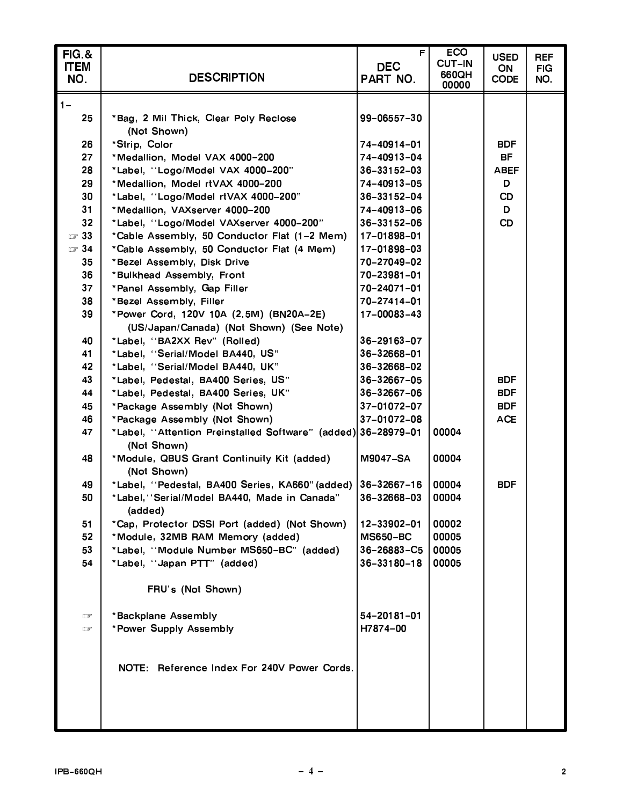| <b>FIG.&amp;</b><br><b>ITEM</b><br>NO. | <b>DESCRIPTION</b>                                                           | F.<br><b>DEC</b><br>PART NO. | <b>ECO</b><br><b>CUT-IN</b><br>660QH<br>00000 | <b>USED</b><br>ON<br><b>CODE</b> | <b>REF</b><br><b>FIG</b><br>NO. |
|----------------------------------------|------------------------------------------------------------------------------|------------------------------|-----------------------------------------------|----------------------------------|---------------------------------|
| $1 -$<br>25                            | *Bag, 2 Mil Thick, Clear Poly Reclose                                        | 99-06557-30                  |                                               |                                  |                                 |
| 26                                     | (Not Shown)<br>*Strip, Color                                                 | 74-40914-01                  |                                               | <b>BDF</b>                       |                                 |
| 27                                     | *Medallion, Model VAX 4000-200                                               | 74-40913-04                  |                                               | BF.                              |                                 |
| 28                                     | *Label, "Logo/Model VAX 4000-200"                                            | $36 - 33152 - 03$            |                                               | <b>ABEF</b>                      |                                 |
| 29                                     | *Medallion, Model rtVAX 4000-200                                             | 74-40913-05                  |                                               | D                                |                                 |
| 30                                     | *Label, "Logo/Model rtVAX 4000-200"                                          | 36-33152-04                  |                                               | <b>CD</b>                        |                                 |
| 31                                     | *Medallion, VAXserver 4000-200                                               | 74-40913-06                  |                                               | D.                               |                                 |
| 32                                     | *Label, "Logo/Model VAXserver 4000-200"                                      | 36-33152-06                  |                                               | <b>CD</b>                        |                                 |
| $\square$ 33                           | *Cable Assembly, 50 Conductor Flat (1-2 Mem)                                 | 17-01898-01                  |                                               |                                  |                                 |
| $\square$ 34                           | *Cable Assembly, 50 Conductor Flat (4 Mem)                                   | 17-01898-03                  |                                               |                                  |                                 |
| 35                                     | *Bezel Assembly, Disk Drive                                                  | 70-27049-02                  |                                               |                                  |                                 |
| 36                                     | *Bulkhead Assembly, Front                                                    | 70-23981-01                  |                                               |                                  |                                 |
| 37                                     | *Panel Assembly, Gap Filler                                                  | 70-24071-01                  |                                               |                                  |                                 |
| 38                                     | *Bezel Assembly, Filler                                                      | 70-27414-01                  |                                               |                                  |                                 |
| 39                                     | *Power Cord, 120V 10A (2.5M) (BN20A-2E)                                      | 17-00083-43                  |                                               |                                  |                                 |
|                                        | (US/Japan/Canada) (Not Shown) (See Note)                                     |                              |                                               |                                  |                                 |
| 40                                     | *Label, "BA2XX Rev" (Rolled)                                                 | 36-29163-07                  |                                               |                                  |                                 |
| 41                                     | *Label, "Serial/Model BA440, US"                                             | 36-32668-01                  |                                               |                                  |                                 |
| 42                                     | *Label, "Serial/Model BA440, UK"                                             | 36-32668-02                  |                                               |                                  |                                 |
| 43                                     | *Label, Pedestal, BA400 Series, US"                                          | 36-32667-05                  |                                               | <b>BDF</b>                       |                                 |
| 44                                     | *Label, Pedestal, BA400 Series, UK"                                          | 36-32667-06                  |                                               | <b>BDF</b>                       |                                 |
| 45                                     | *Package Assembly (Not Shown)                                                | 37-01072-07                  |                                               | <b>BDF</b>                       |                                 |
| 46                                     | *Package Assembly (Not Shown)                                                | 37-01072-08                  |                                               | <b>ACE</b>                       |                                 |
| 47                                     | *Label, "Attention Preinstalled Software" (added) 36-28979-01<br>(Not Shown) |                              | 00004                                         |                                  |                                 |
| 48                                     | *Module, QBUS Grant Continuity Kit (added)<br>(Not Shown)                    | <b>M9047-SA</b>              | 00004                                         |                                  |                                 |
| 49                                     | *Label, "Pedestal, BA400 Series, KA660" (added)                              | 36-32667-16                  | 00004                                         | <b>BDF</b>                       |                                 |
| 50                                     | *Label, "Serial/Model BA440, Made in Canada"<br>(added)                      | 36-32668-03                  | 00004                                         |                                  |                                 |
| 51                                     | *Cap, Protector DSSI Port (added) (Not Shown)                                | 12-33902-01                  | 00002                                         |                                  |                                 |
| 52                                     | *Module, 32MB RAM Memory (added)                                             | <b>MS650-BC</b>              | 00005                                         |                                  |                                 |
| 53                                     | *Label, "Module Number MS650-BC" (added)                                     | 36-26883-C5                  | 00005                                         |                                  |                                 |
| 54                                     | *Label, "Japan PTT" (added)                                                  | 36-33180-18                  | 00005                                         |                                  |                                 |
|                                        | FRU's (Not Shown)                                                            |                              |                                               |                                  |                                 |
| 口                                      | *Backplane Assembly                                                          | 54-20181-01                  |                                               |                                  |                                 |
| G                                      | *Power Supply Assembly                                                       | H7874-00                     |                                               |                                  |                                 |
|                                        |                                                                              |                              |                                               |                                  |                                 |
|                                        | NOTE: Reference Index For 240V Power Cords.                                  |                              |                                               |                                  |                                 |
|                                        |                                                                              |                              |                                               |                                  |                                 |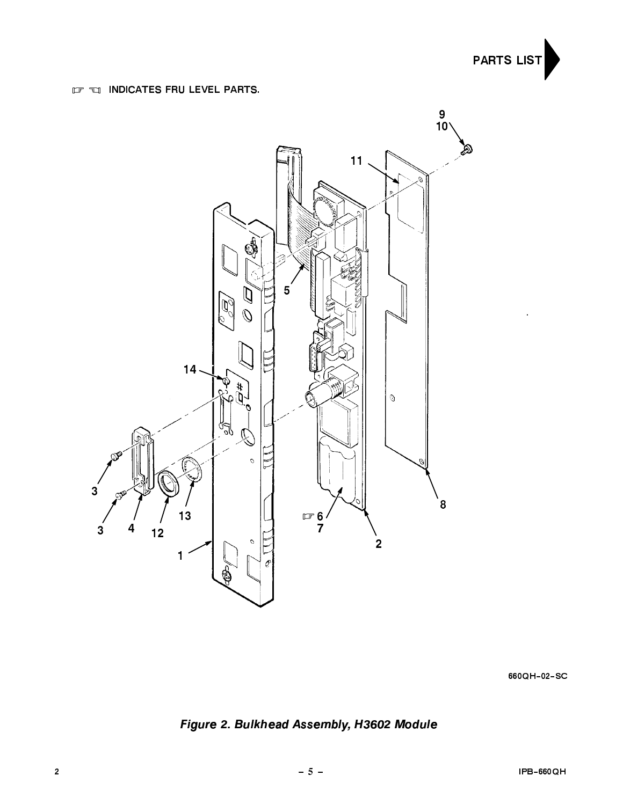

# **IF EI INDICATES FRU LEVEL PARTS.**



660QH-02-SC

Figure 2. Bulkhead Assembly, H3602 Module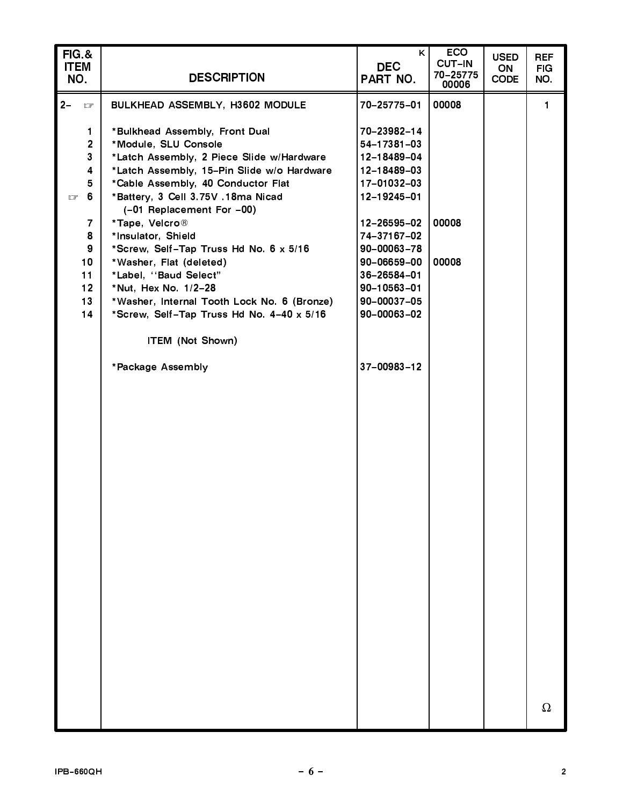| FIG.&<br><b>ITEM</b><br>NO. | <b>DESCRIPTION</b>                                              | K<br><b>DEC</b><br>PART NO. | <b>ECO</b><br><b>CUT-IN</b><br>70-25775<br>00006 | <b>USED</b><br>ON<br><b>CODE</b> | <b>REF</b><br><b>FIG</b><br>NO. |
|-----------------------------|-----------------------------------------------------------------|-----------------------------|--------------------------------------------------|----------------------------------|---------------------------------|
| $2-$<br>口                   | BULKHEAD ASSEMBLY, H3602 MODULE                                 | 70-25775-01                 | 00008                                            |                                  | $\mathbf{1}$                    |
|                             |                                                                 |                             |                                                  |                                  |                                 |
| 1                           | *Bulkhead Assembly, Front Dual                                  | 70-23982-14                 |                                                  |                                  |                                 |
| $\overline{2}$              | *Module, SLU Console                                            | 54-17381-03                 |                                                  |                                  |                                 |
| 3                           | *Latch Assembly, 2 Piece Slide w/Hardware                       | 12-18489-04                 |                                                  |                                  |                                 |
| 4                           | *Latch Assembly, 15-Pin Slide w/o Hardware                      | 12-18489-03                 |                                                  |                                  |                                 |
| 5                           | *Cable Assembly, 40 Conductor Flat                              | 17-01032-03                 |                                                  |                                  |                                 |
| 6<br>ロ                      | *Battery, 3 Cell 3.75V .18ma Nicad<br>(-01 Replacement For -00) | 12-19245-01                 |                                                  |                                  |                                 |
| 7                           | *Tape, Velcro <sup>®</sup>                                      | 12-26595-02                 | 00008                                            |                                  |                                 |
| 8                           | *Insulator, Shield                                              | 74-37167-02                 |                                                  |                                  |                                 |
| 9                           | *Screw, Self-Tap Truss Hd No. 6 x 5/16                          | $90 - 00063 - 78$           |                                                  |                                  |                                 |
| 10 <sub>1</sub>             | *Washer, Flat (deleted)                                         | 90-06659-00                 | 00008                                            |                                  |                                 |
| 11                          | *Label, "Baud Select"                                           | 36-26584-01                 |                                                  |                                  |                                 |
| 12 <sup>°</sup>             | *Nut, Hex No. 1/2-28                                            | 90-10563-01                 |                                                  |                                  |                                 |
| 13                          | *Washer, Internal Tooth Lock No. 6 (Bronze)                     | 90-00037-05                 |                                                  |                                  |                                 |
| 14                          | *Screw, Self-Tap Truss Hd No. 4-40 x 5/16                       | $90 - 00063 - 02$           |                                                  |                                  |                                 |
|                             | <b>ITEM (Not Shown)</b>                                         |                             |                                                  |                                  |                                 |
|                             | *Package Assembly                                               | 37-00983-12                 |                                                  |                                  |                                 |
|                             |                                                                 |                             |                                                  |                                  |                                 |
|                             |                                                                 |                             |                                                  |                                  |                                 |
|                             |                                                                 |                             |                                                  |                                  |                                 |
|                             |                                                                 |                             |                                                  |                                  |                                 |
|                             |                                                                 |                             |                                                  |                                  |                                 |
|                             |                                                                 |                             |                                                  |                                  |                                 |
|                             |                                                                 |                             |                                                  |                                  |                                 |
|                             |                                                                 |                             |                                                  |                                  |                                 |
|                             |                                                                 |                             |                                                  |                                  |                                 |
|                             |                                                                 |                             |                                                  |                                  |                                 |
|                             |                                                                 |                             |                                                  |                                  |                                 |
|                             |                                                                 |                             |                                                  |                                  |                                 |
|                             |                                                                 |                             |                                                  |                                  |                                 |
|                             |                                                                 |                             |                                                  |                                  |                                 |
|                             |                                                                 |                             |                                                  |                                  |                                 |
|                             |                                                                 |                             |                                                  |                                  |                                 |
|                             |                                                                 |                             |                                                  |                                  |                                 |
|                             |                                                                 |                             |                                                  |                                  |                                 |
|                             |                                                                 |                             |                                                  |                                  |                                 |
|                             |                                                                 |                             |                                                  |                                  |                                 |
|                             |                                                                 |                             |                                                  |                                  |                                 |
|                             |                                                                 |                             |                                                  |                                  |                                 |
|                             |                                                                 |                             |                                                  |                                  | $\Omega$                        |
|                             |                                                                 |                             |                                                  |                                  |                                 |
|                             |                                                                 |                             |                                                  |                                  |                                 |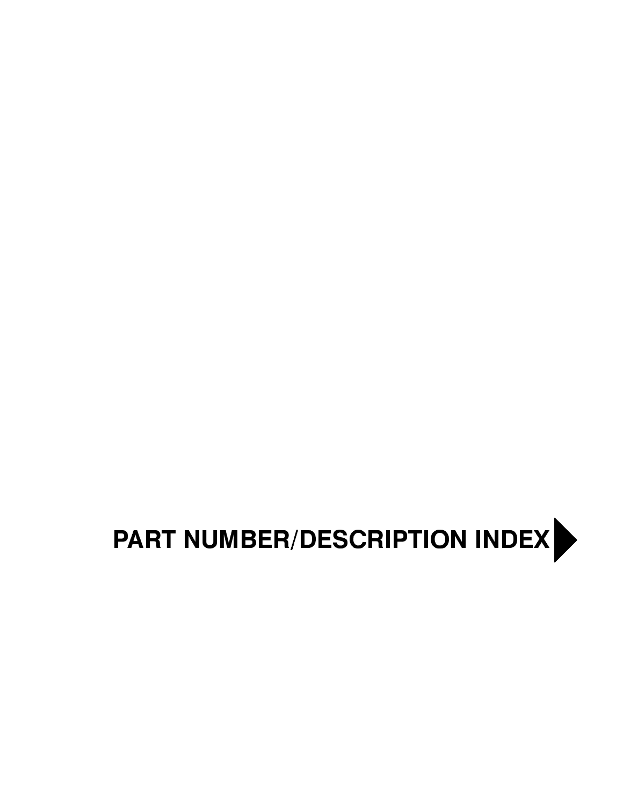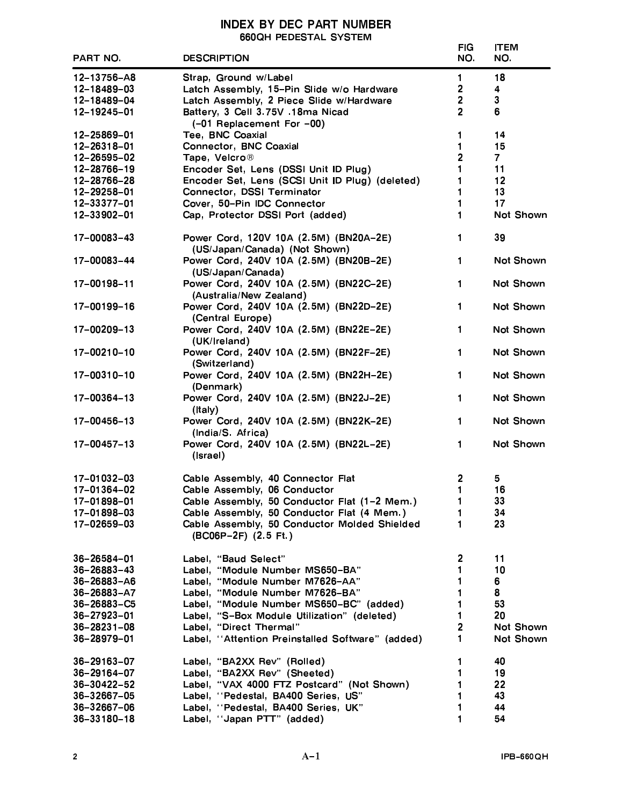# INDEX BY DEC PART NUMBER<br>660QH PEDESTAL SYSTEM

|                   |                                                                                            | <b>FIG</b>              | <b>ITEM</b>      |
|-------------------|--------------------------------------------------------------------------------------------|-------------------------|------------------|
| <b>PART NO.</b>   | <b>DESCRIPTION</b>                                                                         | NO.                     | NO.              |
| 12-13756-A8       | Strap, Ground w/Label                                                                      | $\mathbf 1$             | 18               |
| 12-18489-03       | Latch Assembly, 15-Pin Slide w/o Hardware                                                  | 2                       | 4                |
| 12-18489-04       | Latch Assembly, 2 Piece Slide w/Hardware                                                   | $\overline{2}$          | $\mathbf{3}$     |
| 12-19245-01       | Battery, 3 Cell 3.75V .18ma Nicad                                                          | $\overline{2}$          | 6                |
|                   | (-01 Replacement For -00)                                                                  |                         |                  |
| 12-25869-01       | Tee, BNC Coaxial                                                                           | 1                       | 14               |
| 12-26318-01       | <b>Connector, BNC Coaxial</b>                                                              | 1                       | 15               |
| 12-26595-02       | Tape, Velcro®                                                                              | $\overline{c}$          | $\overline{7}$   |
| 12-28766-19       | Encoder Set, Lens (DSSI Unit ID Plug)                                                      | 1                       | 11               |
| 12-28766-28       | Encoder Set, Lens (SCSI Unit ID Plug) (deleted)                                            | 1                       | 12               |
| 12-29258-01       | Connector, DSSI Terminator                                                                 | 1                       | 13               |
| 12-33377-01       | Cover, 50-Pin IDC Connector                                                                | 1                       | 17               |
| 12-33902-01       | Cap, Protector DSSI Port (added)                                                           | 1                       | Not Shown        |
|                   |                                                                                            |                         |                  |
| 17-00083-43       | Power Cord, 120V 10A (2.5M) (BN20A-2E)<br>(US/Japan/Canada) (Not Shown)                    | 1.                      | 39               |
| 17-00083-44       | Power Cord, 240V 10A (2.5M) (BN20B-2E)                                                     | 1                       | <b>Not Shown</b> |
|                   | (US/Japan/Canada)                                                                          |                         |                  |
| 17-00198-11       | Power Cord, 240V 10A (2.5M) (BN22C-2E)                                                     | 1.                      | Not Shown        |
|                   | (Australia/New Zealand)                                                                    |                         |                  |
| 17-00199-16       | Power Cord, 240V 10A (2.5M) (BN22D-2E)                                                     | $\mathbf 1$             | <b>Not Shown</b> |
| 17-00209-13       | (Central Europe)<br>Power Cord, 240V 10A (2.5M) (BN22E-2E)                                 | $\mathbf{1}$            | <b>Not Shown</b> |
|                   | (UK/Ireland)                                                                               |                         |                  |
| $17 - 00210 - 10$ | Power Cord, 240V 10A (2.5M) (BN22F-2E)                                                     | $\mathbf{1}$            | <b>Not Shown</b> |
|                   | (Switzerland)                                                                              |                         |                  |
| 17-00310-10       | Power Cord, 240V 10A (2.5M) (BN22H-2E)                                                     | 1.                      | <b>Not Shown</b> |
|                   | (Denmark)                                                                                  |                         |                  |
| 17-00364-13       | Power Cord, 240V 10A (2.5M) (BN22J-2E)<br>$($ Italy $)$                                    | $\mathbf{1}$            | <b>Not Shown</b> |
| 17-00456-13       | Power Cord, 240V 10A (2.5M) (BN22K-2E)                                                     | 1.                      | <b>Not Shown</b> |
|                   | (India/S. Africa)                                                                          |                         |                  |
| 17-00457-13       | Power Cord, 240V 10A (2.5M) (BN22L-2E)                                                     | 1                       | Not Shown        |
|                   | (Israel)                                                                                   |                         |                  |
| 17-01032-03       | Cable Assembly, 40 Connector Flat                                                          | 2                       | 5                |
| 17-01364-02       | Cable Assembly, 06 Conductor                                                               | 1                       | 16               |
|                   |                                                                                            |                         | 33               |
| 17-01898-01       | Cable Assembly, 50 Conductor Flat (1-2 Mem.)<br>Cable Assembly, 50 Conductor Flat (4 Mem.) | 1<br>1                  |                  |
| 17-01898-03       |                                                                                            |                         | 34               |
| $17 - 02659 - 03$ | Cable Assembly, 50 Conductor Molded Shielded<br>(BC06P-2F) (2.5 Ft.)                       | 1                       | 23               |
|                   |                                                                                            |                         |                  |
| 36-26584-01       | Label, "Baud Select"                                                                       | 2                       | 11               |
| $36 - 26883 - 43$ | Label, "Module Number MS650-BA"                                                            | 1                       | 10               |
| 36-26883-A6       | Label, "Module Number M7626-AA"                                                            | 1                       | 6                |
| $36 - 26883 - A7$ | Label, "Module Number M7626-BA"                                                            | 1                       | 8                |
| 36-26883-C5       | Label, "Module Number MS650-BC" (added)                                                    | 1                       | 53               |
| $36 - 27923 - 01$ | Label, "S-Box Module Utilization" (deleted)                                                | 1                       | 20               |
| $36 - 28231 - 08$ | Label, "Direct Thermal"                                                                    | $\overline{\mathbf{c}}$ | Not Shown        |
| 36-28979-01       | Label, "Attention Preinstalled Software" (added)                                           | 1                       | Not Shown        |
|                   |                                                                                            |                         |                  |
| 36-29163-07       | Label, "BA2XX Rev" (Rolled)                                                                | 1                       | 40               |
| 36-29164-07       | Label, "BA2XX Rev" (Sheeted)                                                               | 1                       | 19               |
| 36-30422-52       | Label, "VAX 4000 FTZ Postcard" (Not Shown)                                                 | 1                       | 22               |
| 36-32667-05       | Label, "Pedestal, BA400 Series, US"                                                        | 1                       | 43               |
| 36-32667-06       | Label, "Pedestal, BA400 Series, UK"                                                        | 1                       | 44               |
| 36-33180-18       | Label, "Japan PTT" (added)                                                                 | 1                       | 54               |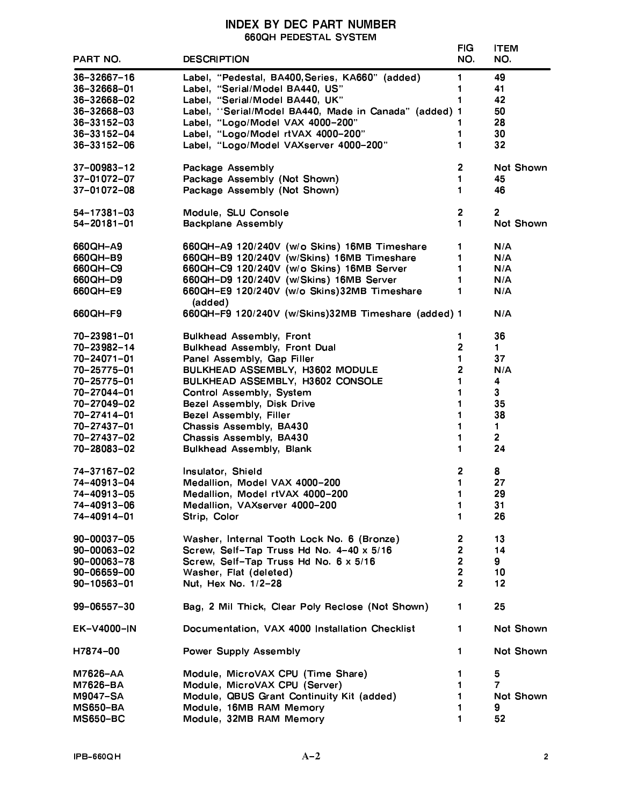# **INDEX BY DEC PART NUMBER 660QH PEDESTAL SYSTEM**

| PART NO.          | <b>DESCRIPTION</b>                                    | <b>FIG</b><br>NO. | <b>ITEM</b><br>NO. |
|-------------------|-------------------------------------------------------|-------------------|--------------------|
| 36-32667-16       | Label, "Pedestal, BA400, Series, KA660" (added)       | 1                 | 49                 |
| 36-32668-01       | Label, "Serial/Model BA440, US"                       | 1                 | 41                 |
| 36-32668-02       | Label, "Serial/Model BA440, UK"                       | 1                 | 42                 |
| 36-32668-03       | Label, "Serial/Model BA440, Made in Canada" (added) 1 |                   | 50                 |
| $36 - 33152 - 03$ | Label, "Logo/Model VAX 4000-200"                      |                   | 28                 |
| 36-33152-04       | Label, "Logo/Model rtVAX 4000-200"                    | 1                 | 30                 |
| 36-33152-06       |                                                       | 1                 | 32                 |
|                   | Label, "Logo/Model VAXserver 4000-200"                |                   |                    |
| 37-00983-12       | Package Assembly                                      | $\overline{2}$    | Not Shown          |
| 37-01072-07       | Package Assembly (Not Shown)                          | 1                 | 45                 |
| 37-01072-08       | Package Assembly (Not Shown)                          | 1                 | 46                 |
| 54-17381-03       | Module, SLU Console                                   | 2                 | $\overline{2}$     |
| $54 - 20181 - 01$ | <b>Backplane Assembly</b>                             | 1                 | Not Shown          |
| 660QH-A9          | 660QH-A9 120/240V (w/o Skins) 16MB Timeshare          | 1                 | N/A                |
| 660QH-B9          | 660QH-B9 120/240V (w/Skins) 16MB Timeshare            | 1                 | N/A                |
| 660QH-C9          | 660QH-C9 120/240V (w/o Skins) 16MB Server             | 1                 | N/A                |
| 660QH-D9          | 660QH-D9 120/240V (w/Skins) 16MB Server               | 1                 | N/A                |
| 660QH-E9          | 660QH-E9 120/240V (w/o Skins)32MB Timeshare           | 1                 | N/A                |
|                   | (added)                                               |                   |                    |
| 660QH-F9          | 660QH-F9 120/240V (w/Skins)32MB Timeshare (added) 1   |                   | N/A                |
| 70-23981-01       | <b>Bulkhead Assembly, Front</b>                       | 1                 | 36                 |
| 70-23982-14       | <b>Bulkhead Assembly, Front Dual</b>                  | 2                 | $\mathbf 1$        |
| 70-24071-01       | Panel Assembly, Gap Filler                            | 1                 | 37                 |
| 70-25775-01       | BULKHEAD ASSEMBLY, H3602 MODULE                       | 2                 | N/A                |
| 70-25775-01       | BULKHEAD ASSEMBLY, H3602 CONSOLE                      | 1                 | 4                  |
| 70-27044-01       | Control Assembly, System                              | 1                 | 3                  |
| 70-27049-02       | Bezel Assembly, Disk Drive                            | 1                 | 35                 |
| 70-27414-01       | Bezel Assembly, Filler                                | 1                 | 38                 |
| 70-27437-01       | Chassis Assembly, BA430                               | 1                 | $\blacksquare$     |
| 70-27437-02       | Chassis Assembly, BA430                               | 1                 | $\overline{2}$     |
| 70-28083-02       | <b>Bulkhead Assembly, Blank</b>                       | 1                 | 24                 |
|                   |                                                       |                   |                    |
| 74-37167-02       | Insulator, Shield                                     | 2                 | 8                  |
| 74-40913-04       | Medallion, Model VAX 4000-200                         | 1                 | 27                 |
| 74-40913-05       | Medallion, Model rtVAX 4000-200                       | 1                 | 29                 |
| 74-40913-06       | Medallion, VAXserver 4000-200                         | 1                 | 31                 |
| 74-40914-01       | Strip, Color                                          | 1                 | 26                 |
| 90-00037-05       | Washer, Internal Tooth Lock No. 6 (Bronze)            | 2                 | 13                 |
| $90 - 00063 - 02$ | Screw, Self-Tap Truss Hd No. 4-40 x 5/16              | 2                 | 14                 |
| $90 - 00063 - 78$ | Screw, Self-Tap Truss Hd No. 6 x 5/16                 | $\overline{2}$    | 9                  |
| 90-06659-00       | Washer, Flat (deleted)                                | $\overline{2}$    | 10                 |
| $90 - 10563 - 01$ | Nut, Hex No. 1/2-28                                   | $\overline{2}$    | 12                 |
| 99-06557-30       | Bag, 2 Mil Thick, Clear Poly Reclose (Not Shown)      | 1                 | 25                 |
| EK-V4000-IN       | Documentation, VAX 4000 Installation Checklist        | 1                 | Not Shown          |
| H7874-00          | <b>Power Supply Assembly</b>                          | 1                 | Not Shown          |
| M7626-AA          | Module, MicroVAX CPU (Time Share)                     | 1                 | 5                  |
| M7626-BA          | Module, MicroVAX CPU (Server)                         | 1                 | $\overline{7}$     |
| M9047-SA          | Module, QBUS Grant Continuity Kit (added)             | 1                 | Not Shown          |
| <b>MS650-BA</b>   | Module, 16MB RAM Memory                               | 1                 | 9                  |
| <b>MS650-BC</b>   | Module, 32MB RAM Memory                               | 1                 | 52                 |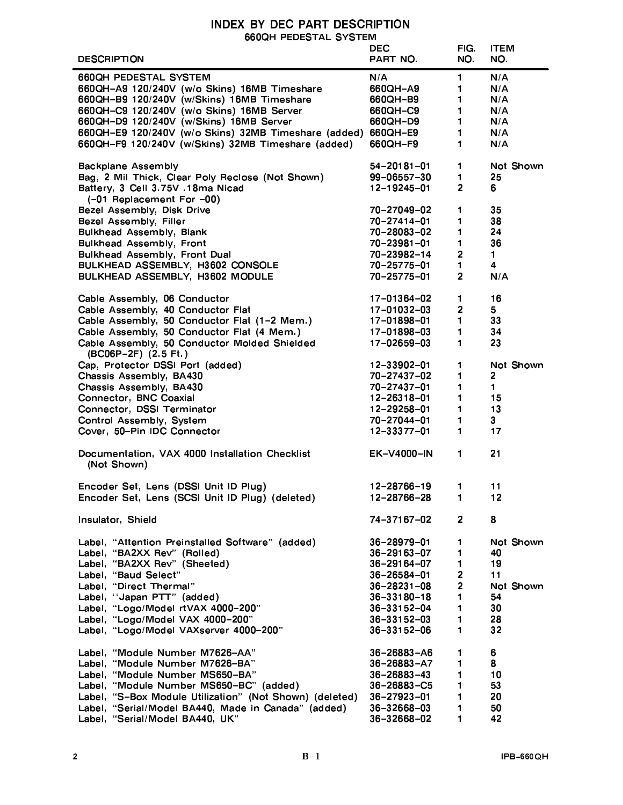# - 
 660QH PEDESTAL SYSTEM

|                                                               | <b>DEC</b>        | FIG.                    | <b>ITEM</b>    |
|---------------------------------------------------------------|-------------------|-------------------------|----------------|
| <b>DESCRIPTION</b>                                            | <b>PART NO.</b>   | NO.                     | NO.            |
|                                                               |                   |                         |                |
| <b>660QH PEDESTAL SYSTEM</b>                                  | N/A               | $\blacksquare$          | N/A            |
| 660QH-A9 120/240V (w/o Skins) 16MB Timeshare                  | 660QH-A9          | 1                       | N/A            |
| 660QH-B9 120/240V (w/Skins) 16MB Timeshare                    | 660QH-B9          | $\mathbf 1$             | N/A            |
| 660QH-C9 120/240V (w/o Skins) 16MB Server                     | 660QH-C9          | $\mathbf 1$             | N/A            |
| 660QH-D9 120/240V (w/Skins) 16MB Server                       | 660QH-D9          | $\mathbf 1$             | N/A            |
| 660QH-E9 120/240V (w/o Skins) 32MB Timeshare (added) 660QH-E9 |                   | $\mathbf 1$             | N/A            |
|                                                               |                   | $\mathbf 1$             | N/A            |
| 660QH-F9 120/240V (w/Skins) 32MB Timeshare (added)            | 660QH-F9          |                         |                |
|                                                               |                   |                         |                |
| <b>Backplane Assembly</b>                                     | 54-20181-01       | $\mathbf 1$             | Not Shown      |
| Bag, 2 Mil Thick, Clear Poly Reclose (Not Shown)              | 99-06557-30       | $\mathbf{1}$            | 25             |
| Battery, 3 Cell 3.75V .18ma Nicad                             | 12-19245-01       | $\overline{2}$          | 6              |
| (-01 Replacement For -00)                                     |                   |                         |                |
| Bezel Assembly, Disk Drive                                    | 70-27049-02       | 1                       | 35             |
| Bezel Assembly, Filler                                        | 70-27414-01       | 1                       | 38             |
| <b>Bulkhead Assembly, Blank</b>                               | 70-28083-02       | 1                       | 24             |
|                                                               |                   |                         |                |
| <b>Bulkhead Assembly, Front</b>                               | 70-23981-01       | $\mathbf{1}$            | 36             |
| <b>Bulkhead Assembly, Front Dual</b>                          | 70-23982-14       | $\overline{\mathbf{2}}$ | $\mathbf 1$    |
| BULKHEAD ASSEMBLY, H3602 CONSOLE                              | 70-25775-01       | 1                       | 4              |
| BULKHEAD ASSEMBLY, H3602 MODULE                               | 70-25775-01       | $\overline{2}$          | N/A            |
|                                                               |                   |                         |                |
| Cable Assembly, 06 Conductor                                  | 17-01364-02       | 1                       | 16             |
| Cable Assembly, 40 Conductor Flat                             | 17-01032-03       | $\overline{2}$          | 5              |
|                                                               |                   |                         |                |
| Cable Assembly, 50 Conductor Flat (1-2 Mem.)                  | 17-01898-01       | $\mathbf 1$             | 33             |
| Cable Assembly, 50 Conductor Flat (4 Mem.)                    | 17-01898-03       | $\mathbf 1$             | 34             |
| Cable Assembly, 50 Conductor Molded Shielded                  | 17-02659-03       | $\mathbf 1$             | 23             |
| (BC06P-2F) (2.5 Ft.)                                          |                   |                         |                |
| Cap, Protector DSSI Port (added)                              | 12-33902-01       | $\mathbf 1$             | Not Shown      |
| Chassis Assembly, BA430                                       | 70-27437-02       | 1                       | $\overline{2}$ |
| Chassis Assembly, BA430                                       | 70-27437-01       | $\mathbf 1$             | 1              |
| Connector, BNC Coaxial                                        | 12-26318-01       | 1                       | 15             |
|                                                               |                   | $\blacksquare$          | 13             |
| Connector, DSSI Terminator                                    | 12-29258-01       |                         |                |
| Control Assembly, System                                      | 70-27044-01       | 1                       | 3 <sup>1</sup> |
| Cover, 50-Pin IDC Connector                                   | 12-33377-01       | 1                       | 17             |
|                                                               |                   |                         |                |
| Documentation, VAX 4000 Installation Checklist                | EK-V4000-IN       | $\mathbf 1$             | 21             |
| (Not Shown)                                                   |                   |                         |                |
|                                                               |                   |                         |                |
| Encoder Set, Lens (DSSI Unit ID Plug)                         | 12-28766-19       | 1.                      | 11             |
| Encoder Set, Lens (SCSI Unit ID Plug) (deleted)               | 12-28766-28       | 1.                      | 12             |
|                                                               |                   |                         |                |
|                                                               |                   |                         |                |
| Insulator, Shield                                             | 74-37167-02       | $\mathbf{2}$            | 8              |
|                                                               |                   |                         |                |
| Label, "Attention Preinstalled Software" (added)              | 36-28979-01       | $\mathbf 1$             | Not Shown      |
| Label, "BA2XX Rev" (Rolled)                                   | $36 - 29163 - 07$ | 1                       | 40             |
| Label, "BA2XX Rev" (Sheeted)                                  | 36-29164-07       | $\mathbf 1$             | 19             |
| Label, "Baud Select"                                          | 36-26584-01       | $\overline{2}$          | 11             |
| Label, "Direct Thermal"                                       | 36-28231-08       | $\overline{2}$          | Not Shown      |
| Label, "Japan PTT" (added)                                    | $36 - 33180 - 18$ | $\blacksquare$          | 54             |
|                                                               |                   |                         |                |
| Label, "Logo/Model rtVAX 4000-200"                            | 36-33152-04       | $\mathbf 1$             | 30             |
| Label, "Logo/Model VAX 4000-200"                              | $36 - 33152 - 03$ | 1                       | 28             |
| Label, "Logo/Model VAXserver 4000-200"                        | $36 - 33152 - 06$ | 1                       | 32             |
|                                                               |                   |                         |                |
| Label, "Module Number M7626-AA"                               | 36-26883-A6       | $\mathbf 1$             | 6              |
| Label, "Module Number M7626-BA"                               | 36-26883-A7       | $\mathbf 1$             | 8              |
| Label, "Module Number MS650-BA"                               | $36 - 26883 - 43$ | $\blacksquare$          | 10             |
| Label, "Module Number MS650-BC" (added)                       | 36-26883-C5       | 1                       | 53             |
| Label, "S-Box Module Utilization" (Not Shown) (deleted)       | 36-27923-01       | $\blacksquare$          | 20             |
|                                                               |                   |                         |                |
| Label, "Serial/Model BA440, Made in Canada" (added)           | 36-32668-03       | 1                       | 50             |
| Label, "Serial/Model BA440, UK"                               | 36-32668-02       | 1                       | 42             |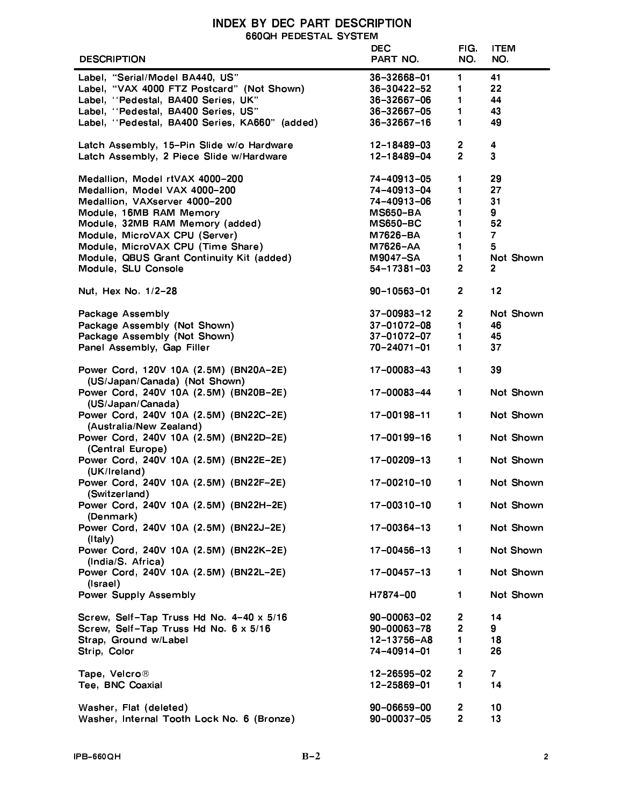# **INDEX BY DEC PART DESCRIPTION** 660QH PEDESTAL SYSTEM

| <b>DESCRIPTION</b>                                                      | <b>DEC</b><br>PART NO      | FIG.<br>NO.                      | <b>ITEM</b><br>NO. |
|-------------------------------------------------------------------------|----------------------------|----------------------------------|--------------------|
|                                                                         |                            |                                  |                    |
| Label, "Serial/Model BA440, US"                                         | 36-32668-01                | $\blacksquare$                   | 41                 |
| Label, "VAX 4000 FTZ Postcard" (Not Shown)                              | $36 - 30422 - 52$          | 1                                | 22                 |
| Label, "Pedestal, BA400 Series, UK"                                     | 36-32667-06                | $\blacksquare$                   | 44                 |
| Label, "Pedestal, BA400 Series, US"                                     | 36-32667-05                | $\blacksquare$                   | 43                 |
| Label, "Pedestal, BA400 Series, KA660" (added)                          | $36 - 32667 - 16$          | 1                                | 49                 |
| Latch Assembly, 15-Pin Slide w/o Hardware                               | 12-18489-03                | $\overline{2}$                   | 4                  |
| Latch Assembly, 2 Piece Slide w/Hardware                                | 12-18489-04                | $\overline{2}$                   | $\mathbf{3}$       |
| Medallion, Model rtVAX 4000-200                                         | 74-40913-05                | 1                                | 29                 |
| Medallion, Model VAX 4000-200                                           | 74-40913-04                | 1                                | 27                 |
| Medallion, VAXserver 4000-200                                           | 74-40913-06                | $\blacksquare$                   | 31                 |
| Module, 16MB RAM Memory                                                 | <b>MS650-BA</b>            | 1                                | 9                  |
| Module, 32MB RAM Memory (added)                                         | <b>MS650-BC</b>            | 1                                | 52                 |
| Module, MicroVAX CPU (Server)                                           | M7626-BA                   | 1                                | $\overline{7}$     |
| Module, MicroVAX CPU (Time Share)                                       | M7626-AA                   | $\mathbf{1}$                     | 5                  |
| Module, QBUS Grant Continuity Kit (added)                               | M9047-SA                   | $\mathbf 1$                      | Not Shown          |
|                                                                         |                            | $\overline{2}$                   | 2                  |
| Module, SLU Console                                                     | 54-17381-03                |                                  |                    |
| Nut, Hex No. 1/2-28                                                     | 90-10563-01                | $\overline{2}$                   | 12                 |
| <b>Package Assembly</b>                                                 | $37 - 00983 - 12$          | $\overline{2}$                   | <b>Not Shown</b>   |
| Package Assembly (Not Shown)                                            | $37 - 01072 - 08$          | $\mathbf 1$                      | 46                 |
| Package Assembly (Not Shown)                                            | $37 - 01072 - 07$          | $\mathbf 1$                      | 45                 |
|                                                                         |                            |                                  |                    |
| Panel Assembly, Gap Filler                                              | 70-24071-01                | $\mathbf{1}$                     | 37                 |
| Power Cord, 120V 10A (2.5M) (BN20A-2E)<br>(US/Japan/Canada) (Not Shown) | 17-00083-43                | $\blacksquare$                   | 39                 |
| Power Cord, 240V 10A (2.5M) (BN20B-2E)<br>(US/Japan/Canada)             | 17-00083-44                | $\blacksquare$                   | Not Shown          |
| Power Cord, 240V 10A (2.5M) (BN22C-2E)<br>(Australia/New Zealand)       | 17-00198-11                | $\mathbf{1}$                     | Not Shown          |
| Power Cord, 240V 10A (2.5M) (BN22D-2E)<br>(Central Europe)              | 17-00199-16                | $\blacksquare$                   | Not Shown          |
| Power Cord, 240V 10A (2.5M) (BN22E-2E)<br>(UK/Ireland)                  | 17-00209-13                | $\blacksquare$                   | <b>Not Shown</b>   |
| Power Cord, 240V 10A (2.5M) (BN22F-2E)<br>(Switzerland)                 | 17-00210-10                | 1                                | Not Shown          |
| Power Cord, 240V 10A (2.5M) (BN22H-2E)<br>(Denmark)                     | 17-00310-10                | $\blacksquare$                   | Not Shown          |
| Power Cord, 240V 10A (2.5M) (BN22J-2E)<br>(Italy)                       | 17-00364-13                | $\mathbf 1$                      | Not Shown          |
| Power Cord, 240V 10A (2.5M) (BN22K-2E)<br>(India/S Africa)              | 17-00456-13                | $\mathbf 1$                      | Not Shown          |
| Power Cord, 240V 10A (2.5M) (BN22L-2E)<br>(Israel)                      | $17 - 00457 - 13$          | $\mathbf 1$                      | Not Shown          |
| <b>Power Supply Assembly</b>                                            | H7874-00                   | $\mathbf 1$                      | Not Shown          |
| Screw, Self-Tap Truss Hd No. 4-40 x 5/16                                | 90-00063-02                | $\overline{2}$                   | 14                 |
| Screw, Self-Tap Truss Hd No. 6 x 5/16                                   | $90 - 00063 - 78$          | $\overline{2}$                   | 9                  |
| Strap, Ground w/Label                                                   | 12-13756-A8                | 1                                | 18                 |
| Strip, Color                                                            | 74-40914-01                | 1                                | 26                 |
|                                                                         |                            |                                  |                    |
| Tape, Velcro®                                                           | 12-26595-02                | 2                                | 7.                 |
| Tee, BNC Coaxial                                                        | 12-25869-01                | $\blacksquare$                   | 14                 |
|                                                                         |                            |                                  |                    |
| Washer, Flat (deleted)<br>Washer, Internal Tooth Lock No. 6 (Bronze)    | 90-06659-00<br>90-00037-05 | $\overline{2}$<br>$\overline{2}$ | 10<br>13           |